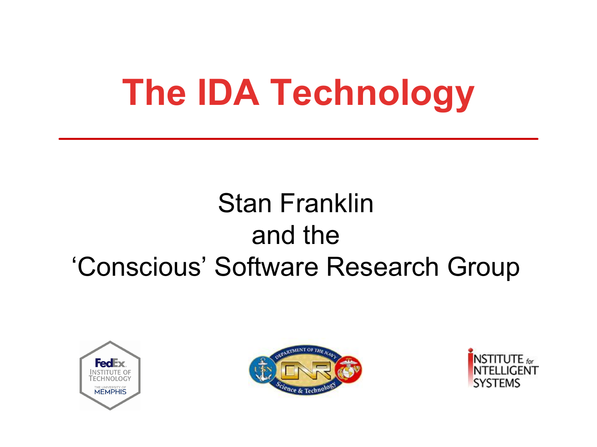### **The IDA Technology**

#### Stan Franklin and the 'Conscious' Software Research Group





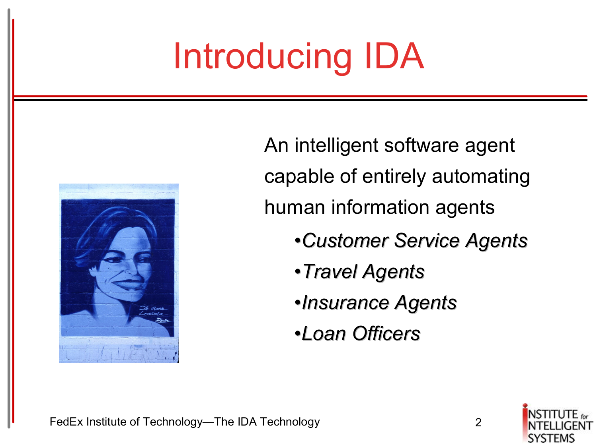# Introducing IDA



An intelligent software agent capable of entirely automating human information agents • *Customer Service Agents*  • *Travel Agents*  • *Insurance Agents*  • *Loan Officers* 

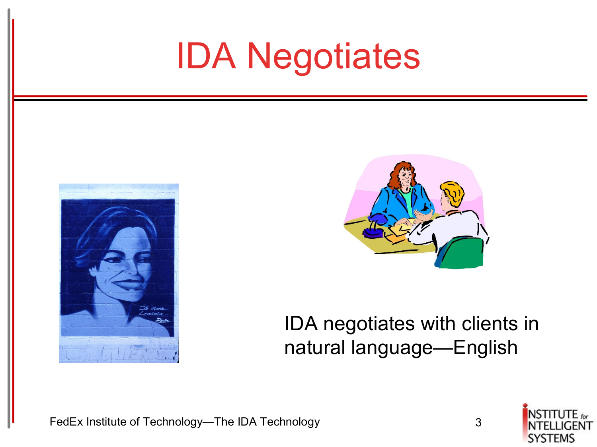# IDA Negotiates





#### IDA negotiates with clients in natural language—English



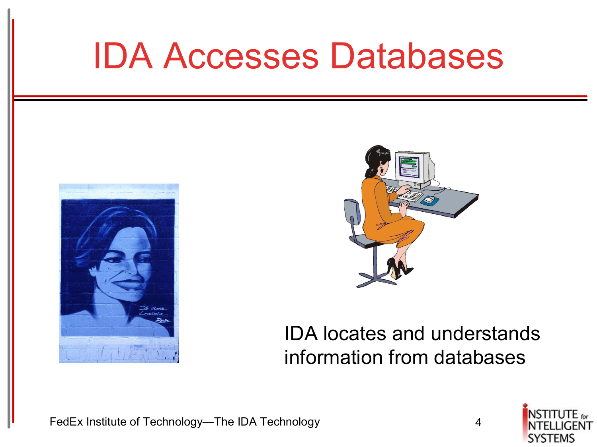#### IDA Accesses Databases





#### IDA locates and understands information from databases

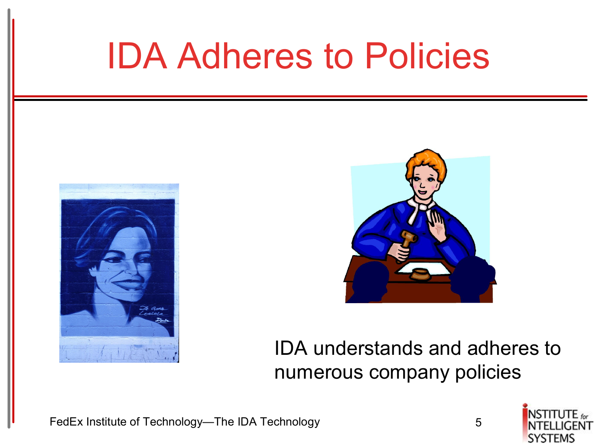#### IDA Adheres to Policies





#### IDA understands and adheres to numerous company policies

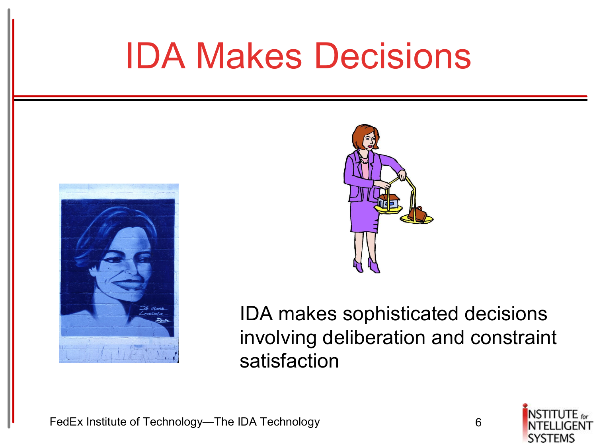### IDA Makes Decisions





IDA makes sophisticated decisions involving deliberation and constraint satisfaction

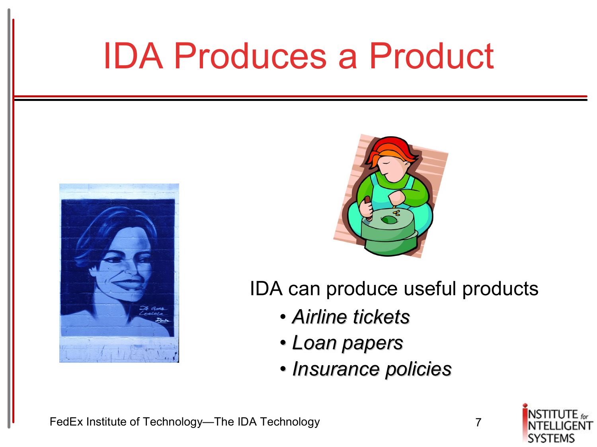### IDA Produces a Product





IDA can produce useful products

- *Airline tickets*
- *Loan papers*
- *Insurance policies*

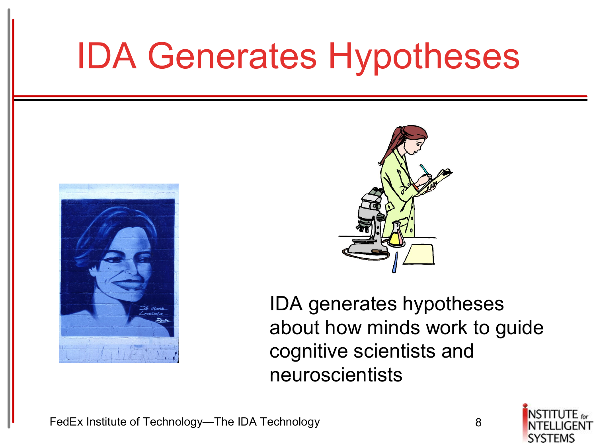### IDA Generates Hypotheses





IDA generates hypotheses about how minds work to guide cognitive scientists and neuroscientists

FedEx Institute of Technology—The IDA Technology and the state of  $\overline{8}$ 



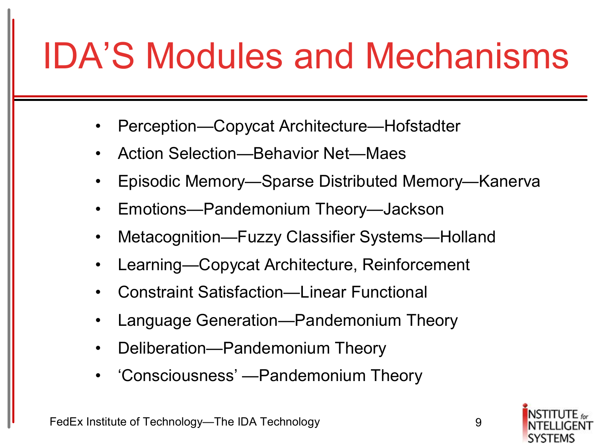### IDA'S Modules and Mechanisms

- Perception—Copycat Architecture—Hofstadter
- Action Selection—Behavior Net—Maes
- Episodic Memory—Sparse Distributed Memory—Kanerva
- Emotions—Pandemonium Theory—Jackson
- Metacognition—Fuzzy Classifier Systems—Holland
- Learning—Copycat Architecture, Reinforcement
- Constraint Satisfaction—Linear Functional
- Language Generation—Pandemonium Theory
- Deliberation—Pandemonium Theory
- 'Consciousness' —Pandemonium Theory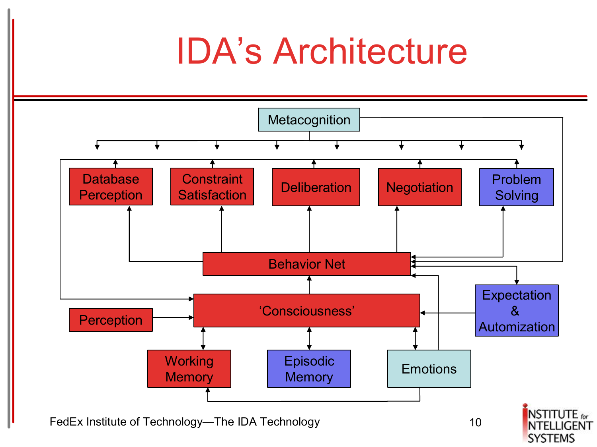### IDA's Architecture

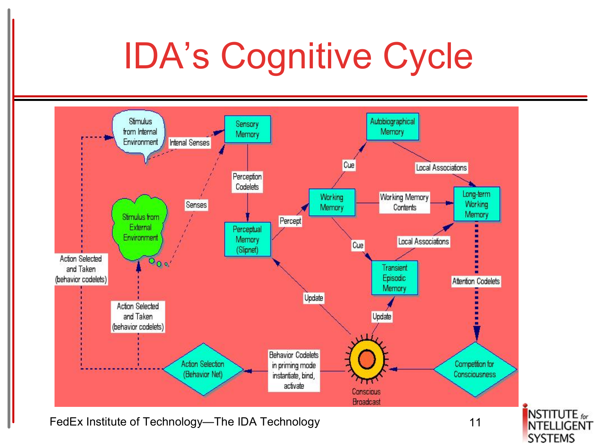# IDA's Cognitive Cycle



NSTITUTE<sub>for</sub> **NTELLIGENT SYSTEMS**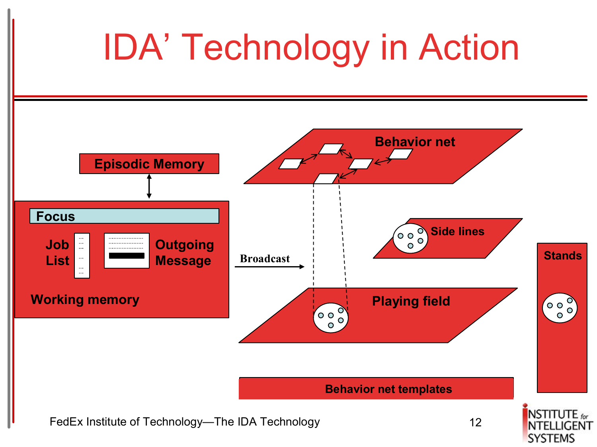